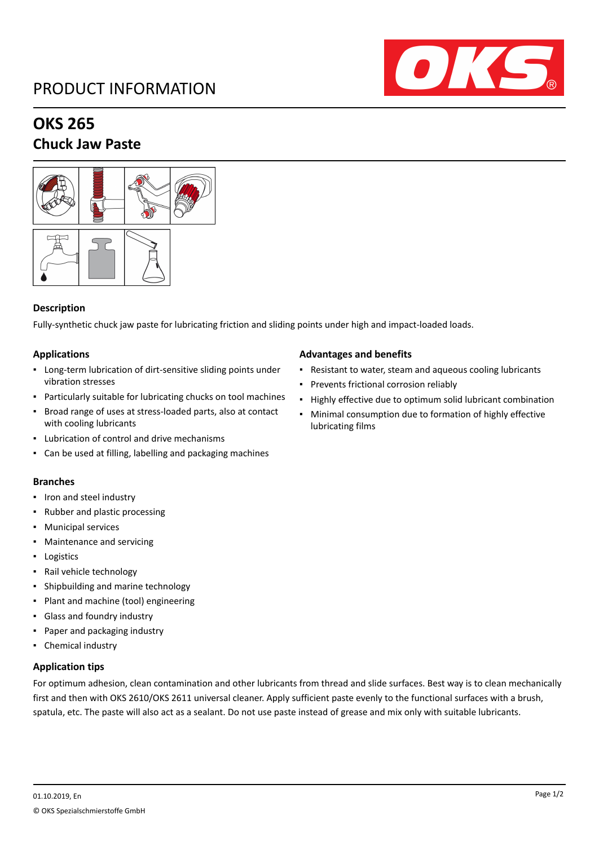# PRODUCT INFORMATION



# **OKS 265**

### **Chuck Jaw Paste**



#### **Description**

Fully-synthetic chuck jaw paste for lubricating friction and sliding points under high and impact-loaded loads.

#### **Applications**

- Long-term lubrication of dirt-sensitive sliding points under vibration stresses
- Particularly suitable for lubricating chucks on tool machines
- Broad range of uses at stress-loaded parts, also at contact with cooling lubricants
- Lubrication of control and drive mechanisms
- Can be used at filling, labelling and packaging machines

#### **Branches**

- Iron and steel industry
- Rubber and plastic processing
- Municipal services
- Maintenance and servicing
- Logistics
- Rail vehicle technology
- Shipbuilding and marine technology
- Plant and machine (tool) engineering
- Glass and foundry industry
- Paper and packaging industry
- Chemical industry

#### **Application tips**

For optimum adhesion, clean contamination and other lubricants from thread and slide surfaces. Best way is to clean mechanically first and then with OKS 2610/OKS 2611 universal cleaner. Apply sufficient paste evenly to the functional surfaces with a brush, spatula, etc. The paste will also act as a sealant. Do not use paste instead of grease and mix only with suitable lubricants.

#### **Advantages and benefits**

- Resistant to water, steam and aqueous cooling lubricants
- Prevents frictional corrosion reliably
- Highly effective due to optimum solid lubricant combination
- Minimal consumption due to formation of highly effective lubricating films